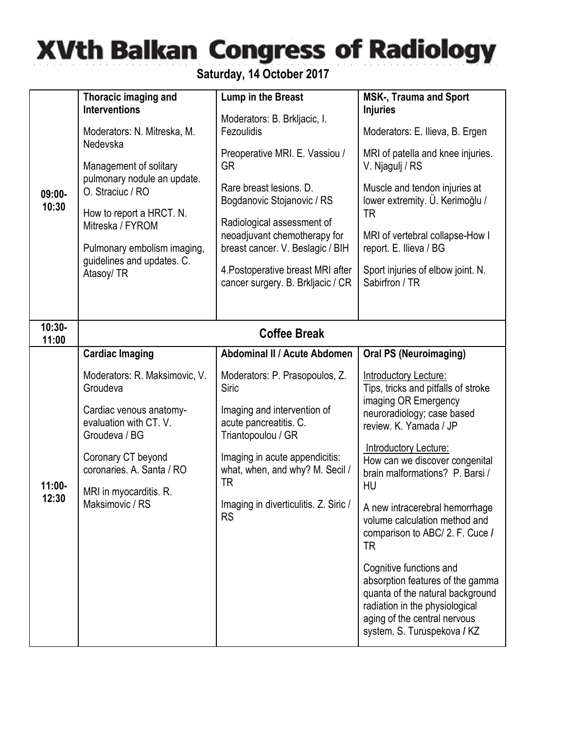## **XVth Balkan Congress of Radiology**

**Saturday, 14 October 2017**

| $09:00 -$<br>10:30 | Thoracic imaging and<br><b>Interventions</b><br>Moderators: N. Mitreska, M.<br>Nedevska<br>Management of solitary<br>pulmonary nodule an update.<br>O. Straciuc / RO<br>How to report a HRCT. N.<br>Mitreska / FYROM<br>Pulmonary embolism imaging,<br>guidelines and updates. C.<br>Atasoy/ TR | Lump in the Breast<br>Moderators: B. Brkljacic, I.<br>Fezoulidis<br>Preoperative MRI. E. Vassiou /<br><b>GR</b><br>Rare breast lesions, D.<br>Bogdanovic Stojanovic / RS<br>Radiological assessment of<br>neoadjuvant chemotherapy for<br>breast cancer. V. Beslagic / BIH<br>4. Postoperative breast MRI after<br>cancer surgery. B. Brkljacic / CR | <b>MSK-, Trauma and Sport</b><br><b>Injuries</b><br>Moderators: E. Ilieva, B. Ergen<br>MRI of patella and knee injuries.<br>V. Njagulj / RS<br>Muscle and tendon injuries at<br>lower extremity. Ü. Kerimoğlu /<br>TR<br>MRI of vertebral collapse-How I<br>report. E. Ilieva / BG<br>Sport injuries of elbow joint. N.<br>Sabirfron / TR                                                                                                                                                                                                                                                         |
|--------------------|-------------------------------------------------------------------------------------------------------------------------------------------------------------------------------------------------------------------------------------------------------------------------------------------------|------------------------------------------------------------------------------------------------------------------------------------------------------------------------------------------------------------------------------------------------------------------------------------------------------------------------------------------------------|---------------------------------------------------------------------------------------------------------------------------------------------------------------------------------------------------------------------------------------------------------------------------------------------------------------------------------------------------------------------------------------------------------------------------------------------------------------------------------------------------------------------------------------------------------------------------------------------------|
| $10:30-$<br>11:00  |                                                                                                                                                                                                                                                                                                 | <b>Coffee Break</b>                                                                                                                                                                                                                                                                                                                                  |                                                                                                                                                                                                                                                                                                                                                                                                                                                                                                                                                                                                   |
| $11:00 -$<br>12:30 | <b>Cardiac Imaging</b><br>Moderators: R. Maksimovic, V.<br>Groudeva<br>Cardiac venous anatomy-<br>evaluation with CT. V.<br>Groudeva / BG<br>Coronary CT beyond<br>coronaries. A. Santa / RO<br>MRI in myocarditis. R.<br>Maksimovic / RS                                                       | Abdominal II / Acute Abdomen<br>Moderators: P. Prasopoulos, Z.<br>Siric<br>Imaging and intervention of<br>acute pancreatitis. C.<br>Triantopoulou / GR<br>Imaging in acute appendicitis:<br>what, when, and why? M. Secil /<br>TR<br>Imaging in diverticulitis. Z. Siric /<br><b>RS</b>                                                              | <b>Oral PS (Neuroimaging)</b><br>Introductory Lecture:<br>Tips, tricks and pitfalls of stroke<br>imaging OR Emergency<br>neuroradiology; case based<br>review. K. Yamada / JP<br>Introductory Lecture:<br>How can we discover congenital<br>brain malformations? P. Barsi /<br>HU<br>A new intracerebral hemorrhage<br>volume calculation method and<br>comparison to ABC/ 2. F. Cuce /<br>TR<br>Cognitive functions and<br>absorption features of the gamma<br>quanta of the natural background<br>radiation in the physiological<br>aging of the central nervous<br>system. S. Turuspekova / KZ |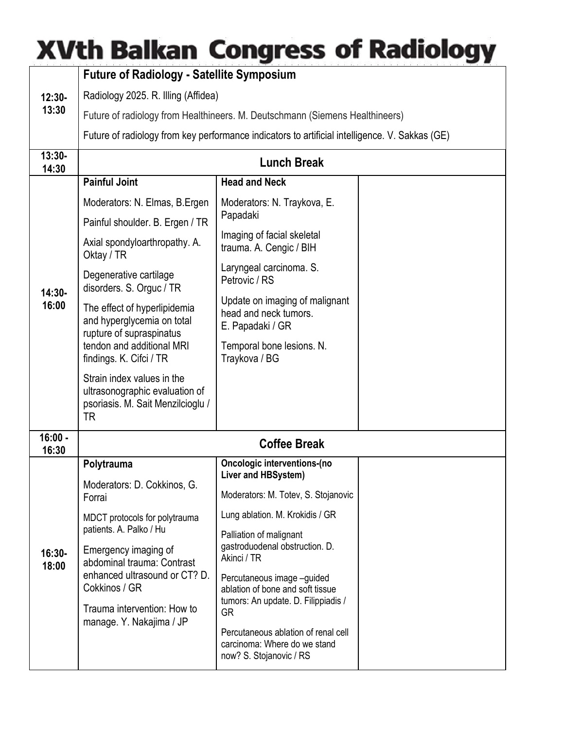## **XVth Balkan Congress of Radiology**

|                    | <b>Future of Radiology - Satellite Symposium</b>                                                                                                                 |                                                                                                |  |  |
|--------------------|------------------------------------------------------------------------------------------------------------------------------------------------------------------|------------------------------------------------------------------------------------------------|--|--|
| $12:30-$<br>13:30  | Radiology 2025. R. Illing (Affidea)                                                                                                                              |                                                                                                |  |  |
|                    | Future of radiology from Healthineers. M. Deutschmann (Siemens Healthineers)                                                                                     |                                                                                                |  |  |
|                    | Future of radiology from key performance indicators to artificial intelligence. V. Sakkas (GE)                                                                   |                                                                                                |  |  |
| $13:30-$<br>14:30  | <b>Lunch Break</b>                                                                                                                                               |                                                                                                |  |  |
|                    | <b>Painful Joint</b>                                                                                                                                             | <b>Head and Neck</b>                                                                           |  |  |
|                    | Moderators: N. Elmas, B. Ergen                                                                                                                                   | Moderators: N. Traykova, E.                                                                    |  |  |
|                    | Painful shoulder. B. Ergen / TR                                                                                                                                  | Papadaki                                                                                       |  |  |
| 14:30-<br>16:00    | Axial spondyloarthropathy. A.<br>Oktay / TR                                                                                                                      | Imaging of facial skeletal<br>trauma. A. Cengic / BIH                                          |  |  |
|                    | Degenerative cartilage<br>disorders. S. Orguc / TR                                                                                                               | Laryngeal carcinoma. S.<br>Petrovic / RS                                                       |  |  |
|                    | The effect of hyperlipidemia<br>and hyperglycemia on total<br>rupture of supraspinatus                                                                           | Update on imaging of malignant<br>head and neck tumors.<br>E. Papadaki / GR                    |  |  |
|                    | tendon and additional MRI<br>findings. K. Cifci / TR                                                                                                             | Temporal bone lesions. N.<br>Traykova / BG                                                     |  |  |
|                    | Strain index values in the<br>ultrasonographic evaluation of<br>psoriasis. M. Sait Menzilcioglu /<br>TR                                                          |                                                                                                |  |  |
| $16:00 -$<br>16:30 | <b>Coffee Break</b>                                                                                                                                              |                                                                                                |  |  |
| 16:30-<br>18:00    | Polytrauma                                                                                                                                                       | <b>Oncologic interventions-(no</b><br>Liver and HBSystem)                                      |  |  |
|                    | Moderators: D. Cokkinos, G.<br>Forrai                                                                                                                            | Moderators: M. Totev, S. Stojanovic                                                            |  |  |
|                    | MDCT protocols for polytrauma<br>patients. A. Palko / Hu<br>Emergency imaging of<br>abdominal trauma: Contrast<br>enhanced ultrasound or CT? D.<br>Cokkinos / GR | Lung ablation. M. Krokidis / GR                                                                |  |  |
|                    |                                                                                                                                                                  | Palliation of malignant<br>gastroduodenal obstruction. D.<br>Akinci / TR                       |  |  |
|                    |                                                                                                                                                                  | Percutaneous image -guided<br>ablation of bone and soft tissue                                 |  |  |
|                    | Trauma intervention: How to<br>manage. Y. Nakajima / JP                                                                                                          | tumors: An update. D. Filippiadis /<br><b>GR</b>                                               |  |  |
|                    |                                                                                                                                                                  | Percutaneous ablation of renal cell<br>carcinoma: Where do we stand<br>now? S. Stojanovic / RS |  |  |